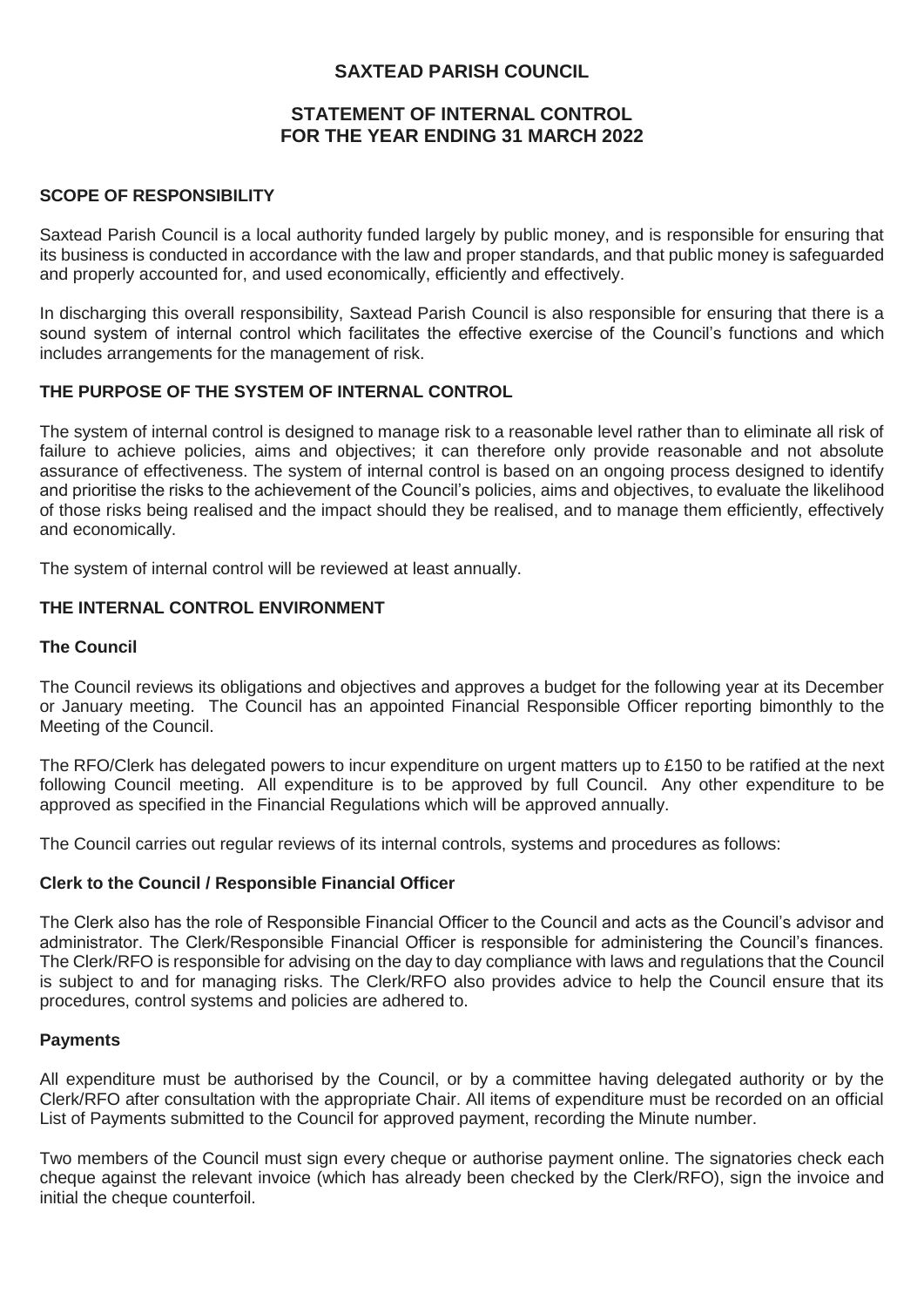# **SAXTEAD PARISH COUNCIL**

### **STATEMENT OF INTERNAL CONTROL FOR THE YEAR ENDING 31 MARCH 2022**

#### **SCOPE OF RESPONSIBILITY**

Saxtead Parish Council is a local authority funded largely by public money, and is responsible for ensuring that its business is conducted in accordance with the law and proper standards, and that public money is safeguarded and properly accounted for, and used economically, efficiently and effectively.

In discharging this overall responsibility, Saxtead Parish Council is also responsible for ensuring that there is a sound system of internal control which facilitates the effective exercise of the Council's functions and which includes arrangements for the management of risk.

## **THE PURPOSE OF THE SYSTEM OF INTERNAL CONTROL**

The system of internal control is designed to manage risk to a reasonable level rather than to eliminate all risk of failure to achieve policies, aims and objectives; it can therefore only provide reasonable and not absolute assurance of effectiveness. The system of internal control is based on an ongoing process designed to identify and prioritise the risks to the achievement of the Council's policies, aims and objectives, to evaluate the likelihood of those risks being realised and the impact should they be realised, and to manage them efficiently, effectively and economically.

The system of internal control will be reviewed at least annually.

### **THE INTERNAL CONTROL ENVIRONMENT**

#### **The Council**

The Council reviews its obligations and objectives and approves a budget for the following year at its December or January meeting. The Council has an appointed Financial Responsible Officer reporting bimonthly to the Meeting of the Council.

The RFO/Clerk has delegated powers to incur expenditure on urgent matters up to £150 to be ratified at the next following Council meeting. All expenditure is to be approved by full Council. Any other expenditure to be approved as specified in the Financial Regulations which will be approved annually.

The Council carries out regular reviews of its internal controls, systems and procedures as follows:

#### **Clerk to the Council / Responsible Financial Officer**

The Clerk also has the role of Responsible Financial Officer to the Council and acts as the Council's advisor and administrator. The Clerk/Responsible Financial Officer is responsible for administering the Council's finances. The Clerk/RFO is responsible for advising on the day to day compliance with laws and regulations that the Council is subject to and for managing risks. The Clerk/RFO also provides advice to help the Council ensure that its procedures, control systems and policies are adhered to.

#### **Payments**

All expenditure must be authorised by the Council, or by a committee having delegated authority or by the Clerk/RFO after consultation with the appropriate Chair. All items of expenditure must be recorded on an official List of Payments submitted to the Council for approved payment, recording the Minute number.

Two members of the Council must sign every cheque or authorise payment online. The signatories check each cheque against the relevant invoice (which has already been checked by the Clerk/RFO), sign the invoice and initial the cheque counterfoil.